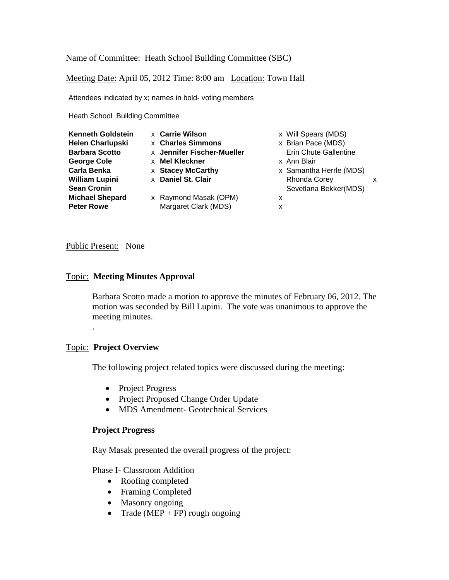## Name of Committee: Heath School Building Committee (SBC)

Meeting Date: April 05, 2012 Time: 8:00 am Location: Town Hall

Attendees indicated by x; names in bold- voting members

Heath School Building Committee

| <b>x</b> Carrie Wilson<br><b>Kenneth Goldstein</b><br><b>x</b> Charles Simmons<br><b>Helen Charlupski</b><br><b>Barbara Scotto</b><br><b>x</b> Mel Kleckner<br><b>George Cole</b><br><b>Carla Benka</b><br><b>x Stacey McCarthy</b><br>x Daniel St. Clair<br><b>William Lupini</b><br><b>Sean Cronin</b><br><b>Michael Shepard</b><br><b>Peter Rowe</b> | x Will Spears (MDS)<br>x Brian Pace (MDS)<br><b>Erin Chute Gallentine</b><br>x Jennifer Fischer-Mueller<br>x Ann Blair<br>x Samantha Herrle (MDS)<br><b>Rhonda Corey</b><br>Sevetlana Bekker(MDS)<br>x Raymond Masak (OPM)<br>x<br>Margaret Clark (MDS)<br>х | x |
|---------------------------------------------------------------------------------------------------------------------------------------------------------------------------------------------------------------------------------------------------------------------------------------------------------------------------------------------------------|--------------------------------------------------------------------------------------------------------------------------------------------------------------------------------------------------------------------------------------------------------------|---|
|---------------------------------------------------------------------------------------------------------------------------------------------------------------------------------------------------------------------------------------------------------------------------------------------------------------------------------------------------------|--------------------------------------------------------------------------------------------------------------------------------------------------------------------------------------------------------------------------------------------------------------|---|

### Public Present: None

### Topic: **Meeting Minutes Approval**

Barbara Scotto made a motion to approve the minutes of February 06, 2012. The motion was seconded by Bill Lupini. The vote was unanimous to approve the meeting minutes.

## Topic: **Project Overview**

.

The following project related topics were discussed during the meeting:

- Project Progress
- Project Proposed Change Order Update
- MDS Amendment- Geotechnical Services

### **Project Progress**

Ray Masak presented the overall progress of the project:

### Phase I- Classroom Addition

- Roofing completed
- Framing Completed
- Masonry ongoing
- Trade (MEP + FP) rough ongoing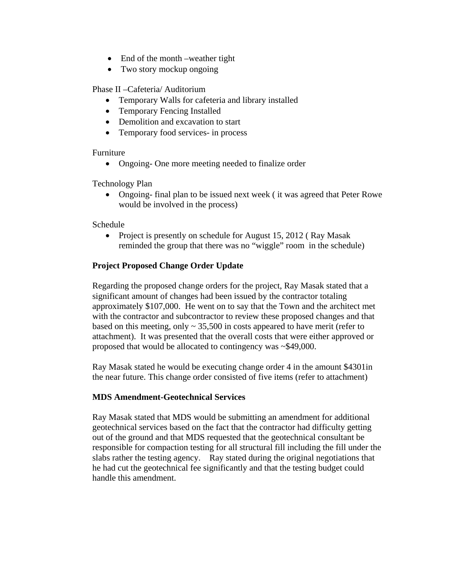- End of the month –weather tight
- Two story mockup ongoing

Phase II –Cafeteria/ Auditorium

- Temporary Walls for cafeteria and library installed
- Temporary Fencing Installed
- Demolition and excavation to start
- Temporary food services- in process

Furniture

Ongoing- One more meeting needed to finalize order

Technology Plan

• Ongoing- final plan to be issued next week (it was agreed that Peter Rowe would be involved in the process)

Schedule

• Project is presently on schedule for August 15, 2012 (Ray Masak reminded the group that there was no "wiggle" room in the schedule)

# **Project Proposed Change Order Update**

Regarding the proposed change orders for the project, Ray Masak stated that a significant amount of changes had been issued by the contractor totaling approximately \$107,000. He went on to say that the Town and the architect met with the contractor and subcontractor to review these proposed changes and that based on this meeting, only  $\sim$  35,500 in costs appeared to have merit (refer to attachment). It was presented that the overall costs that were either approved or proposed that would be allocated to contingency was ~\$49,000.

Ray Masak stated he would be executing change order 4 in the amount \$4301in the near future. This change order consisted of five items (refer to attachment)

# **MDS Amendment-Geotechnical Services**

Ray Masak stated that MDS would be submitting an amendment for additional geotechnical services based on the fact that the contractor had difficulty getting out of the ground and that MDS requested that the geotechnical consultant be responsible for compaction testing for all structural fill including the fill under the slabs rather the testing agency. Ray stated during the original negotiations that he had cut the geotechnical fee significantly and that the testing budget could handle this amendment.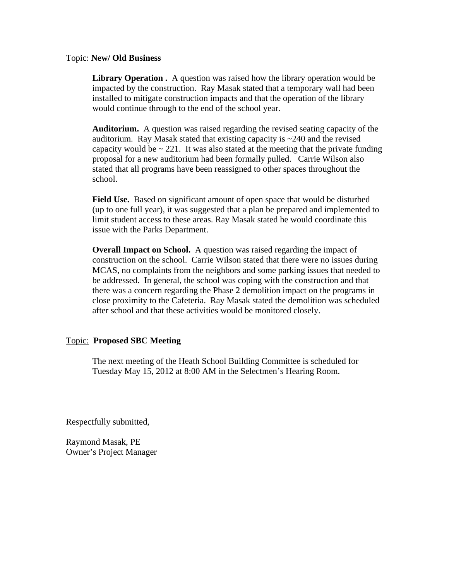### Topic: **New/ Old Business**

**Library Operation .** A question was raised how the library operation would be impacted by the construction. Ray Masak stated that a temporary wall had been installed to mitigate construction impacts and that the operation of the library would continue through to the end of the school year.

**Auditorium.** A question was raised regarding the revised seating capacity of the auditorium. Ray Masak stated that existing capacity is ~240 and the revised capacity would be  $\sim$  221. It was also stated at the meeting that the private funding proposal for a new auditorium had been formally pulled. Carrie Wilson also stated that all programs have been reassigned to other spaces throughout the school.

**Field Use.** Based on significant amount of open space that would be disturbed (up to one full year), it was suggested that a plan be prepared and implemented to limit student access to these areas. Ray Masak stated he would coordinate this issue with the Parks Department.

**Overall Impact on School.** A question was raised regarding the impact of construction on the school. Carrie Wilson stated that there were no issues during MCAS, no complaints from the neighbors and some parking issues that needed to be addressed. In general, the school was coping with the construction and that there was a concern regarding the Phase 2 demolition impact on the programs in close proximity to the Cafeteria. Ray Masak stated the demolition was scheduled after school and that these activities would be monitored closely.

## Topic: **Proposed SBC Meeting**

The next meeting of the Heath School Building Committee is scheduled for Tuesday May 15, 2012 at 8:00 AM in the Selectmen's Hearing Room.

Respectfully submitted,

Raymond Masak, PE Owner's Project Manager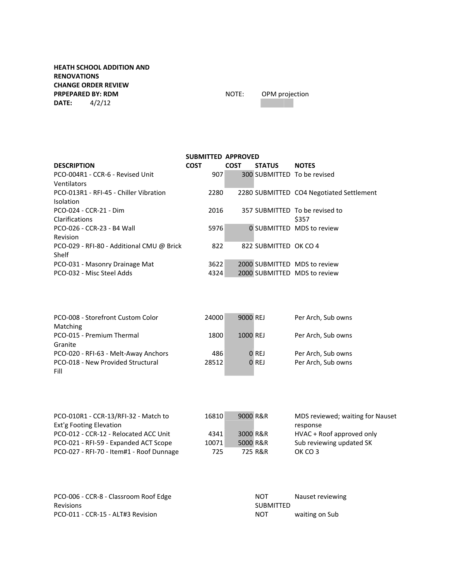### **HEATH SCHOOL ADDITION AND RENOVATIONS CHANGE ORDER REVIEW**<br> **PRPEPARED BY: RDM PRPEPARED BY: RDM PRPEPARED BY: RDM PRPEPARED BY: RDM PRPEPARED BY: RDM PRPEPARED BY: RDM PRPEPARED BY: RDM PRPEPARED BY: RDM PRPEPARED BY: RDM PRPEPARED BY: RDM PRPEPARED BY: RDM DATE:** 4/2/12

|                                           | <b>SUBMITTED APPROVED</b> |             |                       |                                          |
|-------------------------------------------|---------------------------|-------------|-----------------------|------------------------------------------|
| <b>DESCRIPTION</b>                        | <b>COST</b>               | <b>COST</b> | <b>STATUS</b>         | <b>NOTES</b>                             |
| PCO-004R1 - CCR-6 - Revised Unit          | 907                       |             |                       | 300 SUBMITTED To be revised              |
| Ventilators                               |                           |             |                       |                                          |
| PCO-013R1 - RFI-45 - Chiller Vibration    | 2280                      |             |                       | 2280 SUBMITTED CO4 Negotiated Settlement |
| <b>Isolation</b>                          |                           |             |                       |                                          |
| PCO-024 - CCR-21 - Dim                    | 2016                      |             |                       | 357 SUBMITTED To be revised to           |
| Clarifications                            |                           |             |                       | \$357                                    |
| PCO-026 - CCR-23 - B4 Wall                | 5976                      |             |                       | <b>0 SUBMITTED MDS to review</b>         |
| Revision                                  |                           |             |                       |                                          |
| PCO-029 - RFI-80 - Additional CMU @ Brick | 822                       |             | 822 SUBMITTED OK CO 4 |                                          |
| Shelf                                     |                           |             |                       |                                          |
| PCO-031 - Masonry Drainage Mat            | 3622                      |             |                       | 2000 SUBMITTED MDS to review             |
| PCO-032 - Misc Steel Adds                 | 4324                      |             |                       | 2000 SUBMITTED MDS to review             |
|                                           |                           |             |                       |                                          |

| PCO-008 - Storefront Custom Color<br>Matching   | 24000 | 9000 REJ |         | Per Arch, Sub owns |
|-------------------------------------------------|-------|----------|---------|--------------------|
| PCO-015 - Premium Thermal                       | 1800  | 1000 REJ |         | Per Arch, Sub owns |
| Granite<br>PCO-020 - RFI-63 - Melt-Away Anchors | 486   |          | $0$ REJ | Per Arch, Sub owns |
| PCO-018 - New Provided Structural<br>Fill       | 28512 |          | $0$ REJ | Per Arch, Sub owns |

| PCO-010R1 - CCR-13/RFI-32 - Match to     | 16810 | 9000 R&R | MDS reviewed; waiting for Nauset |
|------------------------------------------|-------|----------|----------------------------------|
| Ext'g Footing Elevation                  |       |          | response                         |
| PCO-012 - CCR-12 - Relocated ACC Unit    | 4341  | 3000 R&R | HVAC + Roof approved only        |
| PCO-021 - RFI-59 - Expanded ACT Scope    | 10071 | 5000 R&R | Sub reviewing updated SK         |
| PCO-027 - RFI-70 - Item#1 - Roof Dunnage | 725   | 725 R&R  | OK CO 3                          |

| PCO-006 - CCR-8 - Classroom Roof Edge | NOT              | Nauset reviewing |
|---------------------------------------|------------------|------------------|
| <b>Revisions</b>                      | <b>SUBMITTED</b> |                  |
| PCO-011 - CCR-15 - ALT#3 Revision     | NOT              | waiting on Sub   |